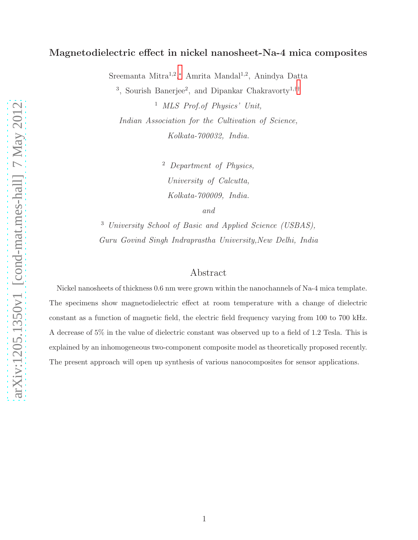## Magnetodielectric effect in nickel nanosheet-Na-4 mica composites

Sreemanta Mitra<sup>1,2</sup>,\* Amrita Mandal<sup>1,2</sup>, Anindya Datta

<sup>3</sup>, Sourish Banerjee<sup>2</sup>, and Dipankar Chakravorty<sup>1,[††](#page-8-1)</sup>

<sup>1</sup> MLS Prof.of Physics' Unit, Indian Association for the Cultivation of Science, Kolkata-700032, India.

> <sup>2</sup> Department of Physics, University of Calcutta, Kolkata-700009, India. and

<sup>3</sup> University School of Basic and Applied Science (USBAS), Guru Govind Singh Indraprastha University,New Delhi, India

## Abstract

Nickel nanosheets of thickness 0.6 nm were grown within the nanochannels of Na-4 mica template. The specimens show magnetodielectric effect at room temperature with a change of dielectric constant as a function of magnetic field, the electric field frequency varying from 100 to 700 kHz. A decrease of 5% in the value of dielectric constant was observed up to a field of 1.2 Tesla. This is explained by an inhomogeneous two-component composite model as theoretically proposed recently. The present approach will open up synthesis of various nanocomposites for sensor applications.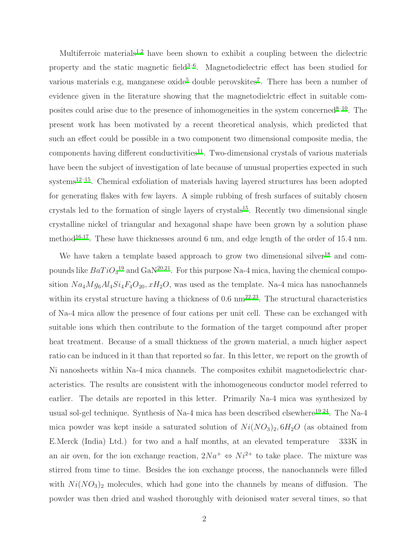Multiferroic materials<sup>[1](#page-8-2)[,2](#page-8-3)</sup> have been shown to exhibit a coupling between the dielectric property an[d](#page-8-4) the static magnetic field $3-6$ . Magnetodielectric effect has been studied for various mat[e](#page-8-5)rial[s](#page-9-1) e.g, manganese oxide<sup>5</sup> double perovskites<sup>7</sup>. There has been a number of evidence given in the literature showing that the magnetodielctric effect in suitable composites could arise due to the presence of inhomogeneities in the system concerned  $8-10$  $8-10$ . The present work has been motivated by a recent theoretical analysis, which predicted that such an effect could be possible in a two component two dimensional composite media, the components having different conductivities $^{11}$  $^{11}$  $^{11}$ . Two-dimensional crystals of various materials have been the subject of investigation of late because of unusual properties expected in such  $s$ ystems<sup>[12](#page-9-5)[–15](#page-9-6)</sup>. Chemical exfoliation of materials having layered structures has been adopted for generating flakes with few layers. A simple rubbing of fresh surfaces of suitably chosen crystals led to the formation of single layers of crystals<sup>[15](#page-9-6)</sup>. Recently two dimensional single crystalline nickel of triangular and hexagonal shape have been grown by a solution phase method<sup>[16](#page-9-7)[,17](#page-9-8)</sup>. These have thicknesses around 6 nm, and edge length of the order of 15.4 nm.

We have taken a template based approach to grow two dimensional silver<sup>[18](#page-9-9)</sup> and compounds like  $BaTiO<sub>3</sub><sup>19</sup>$  $BaTiO<sub>3</sub><sup>19</sup>$  $BaTiO<sub>3</sub><sup>19</sup>$  and  $GaN<sup>20,21</sup>$  $GaN<sup>20,21</sup>$  $GaN<sup>20,21</sup>$  $GaN<sup>20,21</sup>$ . For this purpose Na-4 mica, having the chemical composition  $Na_4Mg_6Al_4Si_4F_4O_{20}$ ,  $xH_2O$ , was used as the template. Na-4 mica has nanochannels within its crystal structure having a thickness of  $0.6 \text{ nm}^{22,23}$  $0.6 \text{ nm}^{22,23}$  $0.6 \text{ nm}^{22,23}$  $0.6 \text{ nm}^{22,23}$ . The structural characteristics of Na-4 mica allow the presence of four cations per unit cell. These can be exchanged with suitable ions which then contribute to the formation of the target compound after proper heat treatment. Because of a small thickness of the grown material, a much higher aspect ratio can be induced in it than that reported so far. In this letter, we report on the growth of Ni nanosheets within Na-4 mica channels. The composites exhibit magnetodielectric characteristics. The results are consistent with the inhomogeneous conductor model referred to earlier. The details are reported in this letter. Primarily Na-4 mica was synthesized by usual sol-gel technique. Synthesis of Na-4 mica has been described elsewhere<sup>[19](#page-9-10)[,24](#page-10-2)</sup>. The Na-4 mica powder was kept inside a saturated solution of  $Ni(NO<sub>3</sub>)<sub>2</sub>, 6H<sub>2</sub>O$  (as obtained from E.Merck (India) Ltd.) for two and a half months, at an elevated temperature 333K in an air oven, for the ion exchange reaction,  $2Na^{+} \Leftrightarrow Ni^{2+}$  to take place. The mixture was stirred from time to time. Besides the ion exchange process, the nanochannels were filled with  $Ni(NO<sub>3</sub>)<sub>2</sub>$  molecules, which had gone into the channels by means of diffusion. The powder was then dried and washed thoroughly with deionised water several times, so that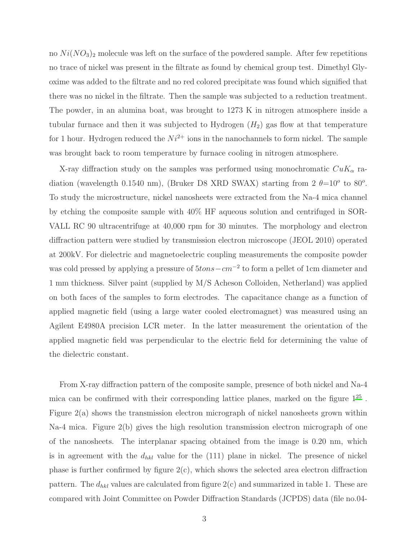no  $Ni(NO<sub>3</sub>)<sub>2</sub>$  molecule was left on the surface of the powdered sample. After few repetitions no trace of nickel was present in the filtrate as found by chemical group test. Dimethyl Glyoxime was added to the filtrate and no red colored precipitate was found which signified that there was no nickel in the filtrate. Then the sample was subjected to a reduction treatment. The powder, in an alumina boat, was brought to 1273 K in nitrogen atmosphere inside a tubular furnace and then it was subjected to Hydrogen  $(H_2)$  gas flow at that temperature for 1 hour. Hydrogen reduced the  $Ni^{2+}$  ions in the nanochannels to form nickel. The sample was brought back to room temperature by furnace cooling in nitrogen atmosphere.

X-ray diffraction study on the samples was performed using monochromatic  $CuK_{\alpha}$  radiation (wavelength 0.1540 nm), (Bruker D8 XRD SWAX) starting from  $2 \theta = 10^{\circ}$  to 80<sup>o</sup>. To study the microstructure, nickel nanosheets were extracted from the Na-4 mica channel by etching the composite sample with 40% HF aqueous solution and centrifuged in SOR-VALL RC 90 ultracentrifuge at 40,000 rpm for 30 minutes. The morphology and electron diffraction pattern were studied by transmission electron microscope (JEOL 2010) operated at 200kV. For dielectric and magnetoelectric coupling measurements the composite powder was cold pressed by applying a pressure of  $5tons-cm^{-2}$  to form a pellet of 1cm diameter and 1 mm thickness. Silver paint (supplied by M/S Acheson Colloiden, Netherland) was applied on both faces of the samples to form electrodes. The capacitance change as a function of applied magnetic field (using a large water cooled electromagnet) was measured using an Agilent E4980A precision LCR meter. In the latter measurement the orientation of the applied magnetic field was perpendicular to the electric field for determining the value of the dielectric constant.

From X-ray diffraction pattern of the composite sample, presence of both nickel and Na-4 mica can be confirmed with their corresponding lattice planes, marked on the figure  $1^{25}$  $1^{25}$  $1^{25}$ . Figure 2(a) shows the transmission electron micrograph of nickel nanosheets grown within Na-4 mica. Figure 2(b) gives the high resolution transmission electron micrograph of one of the nanosheets. The interplanar spacing obtained from the image is 0.20 nm, which is in agreement with the  $d_{hkl}$  value for the (111) plane in nickel. The presence of nickel phase is further confirmed by figure  $2(c)$ , which shows the selected area electron diffraction pattern. The  $d_{hkl}$  values are calculated from figure  $2(c)$  and summarized in table 1. These are compared with Joint Committee on Powder Diffraction Standards (JCPDS) data (file no.04-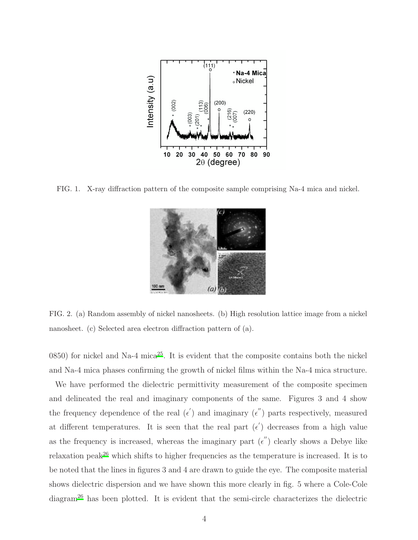

FIG. 1. X-ray diffraction pattern of the composite sample comprising Na-4 mica and nickel.



FIG. 2. (a) Random assembly of nickel nanosheets. (b) High resolution lattice image from a nickel nanosheet. (c) Selected area electron diffraction pattern of (a).

0850) for nickel and Na-4 mica<sup>[25](#page-10-3)</sup>. It is evident that the composite contains both the nickel and Na-4 mica phases confirming the growth of nickel films within the Na-4 mica structure.

We have performed the dielectric permittivity measurement of the composite specimen and delineated the real and imaginary components of the same. Figures 3 and 4 show the frequency dependence of the real  $(\epsilon')$  and imaginary  $(\epsilon'')$  parts respectively, measured at different temperatures. It is seen that the real part  $(\epsilon')$  decreases from a high value as the frequency is increased, whereas the imaginary part  $(\epsilon'')$  clearly shows a Debye like relaxation peak<sup>[26](#page-10-4)</sup> which shifts to higher frequencies as the temperature is increased. It is to be noted that the lines in figures 3 and 4 are drawn to guide the eye. The composite material shows dielectric dispersion and we have shown this more clearly in fig. 5 where a Cole-Cole diagram[26](#page-10-4) has been plotted. It is evident that the semi-circle characterizes the dielectric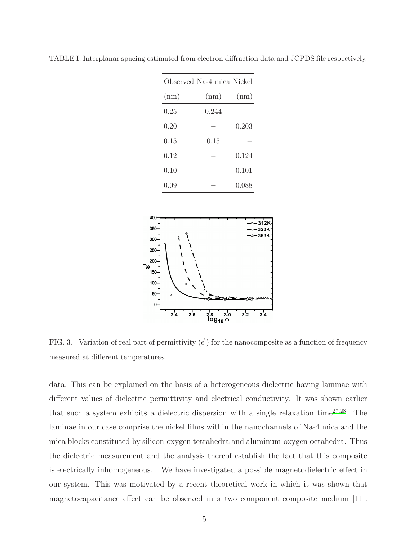| Observed Na-4 mica Nickel |       |       |
|---------------------------|-------|-------|
| (nm)                      | (nm)  | (nm)  |
| 0.25                      | 0.244 |       |
| 0.20                      |       | 0.203 |
| 0.15                      | 0.15  |       |
| 0.12                      |       | 0.124 |
| 0.10                      |       | 0.101 |
| 0.09                      |       | 0.088 |

TABLE I. Interplanar spacing estimated from electron diffraction data and JCPDS file respectively.



FIG. 3. Variation of real part of permittivity  $(\epsilon')$  for the nanocomposite as a function of frequency measured at different temperatures.

data. This can be explained on the basis of a heterogeneous dielectric having laminae with different values of dielectric permittivity and electrical conductivity. It was shown earlier that such a system exhibits a dielectric dispersion with a single relaxation time $27,28$  $27,28$ . The laminae in our case comprise the nickel films within the nanochannels of Na-4 mica and the mica blocks constituted by silicon-oxygen tetrahedra and aluminum-oxygen octahedra. Thus the dielectric measurement and the analysis thereof establish the fact that this composite is electrically inhomogeneous. We have investigated a possible magnetodielectric effect in our system. This was motivated by a recent theoretical work in which it was shown that magnetocapacitance effect can be observed in a two component composite medium [11].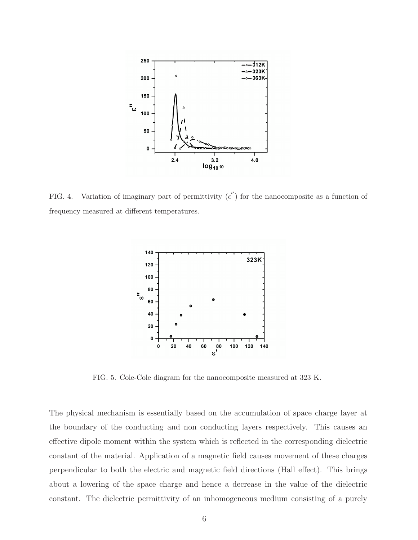

FIG. 4. Variation of imaginary part of permittivity  $(\epsilon'')$  for the nanocomposite as a function of frequency measured at different temperatures.



FIG. 5. Cole-Cole diagram for the nanocomposite measured at 323 K.

The physical mechanism is essentially based on the accumulation of space charge layer at the boundary of the conducting and non conducting layers respectively. This causes an effective dipole moment within the system which is reflected in the corresponding dielectric constant of the material. Application of a magnetic field causes movement of these charges perpendicular to both the electric and magnetic field directions (Hall effect). This brings about a lowering of the space charge and hence a decrease in the value of the dielectric constant. The dielectric permittivity of an inhomogeneous medium consisting of a purely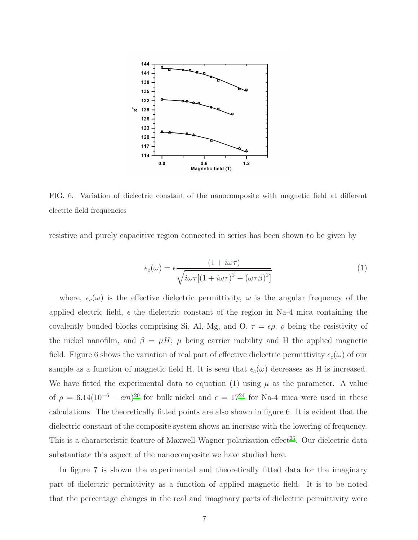

FIG. 6. Variation of dielectric constant of the nanocomposite with magnetic field at different electric field frequencies

resistive and purely capacitive region connected in series has been shown to be given by

$$
\epsilon_c(\omega) = \epsilon \frac{(1 + i\omega\tau)}{\sqrt{i\omega\tau[(1 + i\omega\tau)^2 - (\omega\tau\beta)^2]}}
$$
(1)

where,  $\epsilon_c(\omega)$  is the effective dielectric permittivity,  $\omega$  is the angular frequency of the applied electric field,  $\epsilon$  the dielectric constant of the region in Na-4 mica containing the covalently bonded blocks comprising Si, Al, Mg, and O,  $\tau = \epsilon \rho$ ,  $\rho$  being the resistivity of the nickel nanofilm, and  $\beta = \mu H$ ;  $\mu$  being carrier mobility and H the applied magnetic field. Figure 6 shows the variation of real part of effective dielectric permittivity  $\epsilon_c(\omega)$  of our sample as a function of magnetic field H. It is seen that  $\epsilon_c(\omega)$  decreases as H is increased. We have fitted the experimental data to equation (1) using  $\mu$  as the parameter. A value of  $\rho = 6.14(10^{-6} - cm)^{29}$  $\rho = 6.14(10^{-6} - cm)^{29}$  $\rho = 6.14(10^{-6} - cm)^{29}$  for bulk nickel and  $\epsilon = 17^{24}$  $\epsilon = 17^{24}$  $\epsilon = 17^{24}$  for Na-4 mica were used in these calculations. The theoretically fitted points are also shown in figure 6. It is evident that the dielectric constant of the composite system shows an increase with the lowering of frequency. This is a characteristic feature of Maxwell-Wagner polarization effect [26](#page-10-4). Our dielectric data substantiate this aspect of the nanocomposite we have studied here.

In figure 7 is shown the experimental and theoretically fitted data for the imaginary part of dielectric permittivity as a function of applied magnetic field. It is to be noted that the percentage changes in the real and imaginary parts of dielectric permittivity were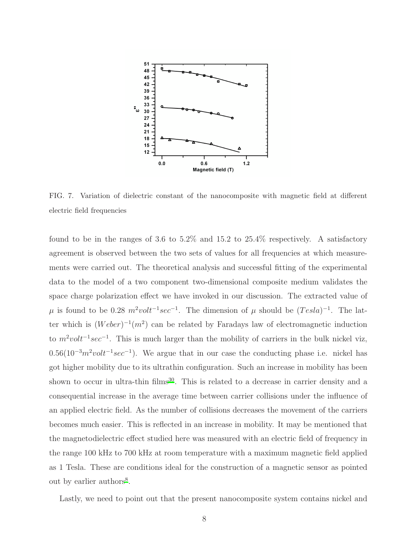

FIG. 7. Variation of dielectric constant of the nanocomposite with magnetic field at different electric field frequencies

found to be in the ranges of 3.6 to 5.2% and 15.2 to 25.4% respectively. A satisfactory agreement is observed between the two sets of values for all frequencies at which measurements were carried out. The theoretical analysis and successful fitting of the experimental data to the model of a two component two-dimensional composite medium validates the space charge polarization effect we have invoked in our discussion. The extracted value of  $\mu$  is found to be 0.28  $m^2 volt^{-1}sec^{-1}$ . The dimension of  $\mu$  should be  $(Tesla)^{-1}$ . The latter which is  $(Weber)^{-1}(m^2)$  can be related by Faradays law of electromagnetic induction to  $m^2 volt^{-1}sec^{-1}$ . This is much larger than the mobility of carriers in the bulk nickel viz,  $0.56(10^{-3}m^2volt^{-1}sec^{-1})$ . We argue that in our case the conducting phase i.e. nickel has got higher mobility due to its ultrathin configuration. Such an increase in mobility has been shown to occur in ultra-thin films<sup>[30](#page-10-8)</sup>. This is related to a decrease in carrier density and a consequential increase in the average time between carrier collisions under the influence of an applied electric field. As the number of collisions decreases the movement of the carriers becomes much easier. This is reflected in an increase in mobility. It may be mentioned that the magnetodielectric effect studied here was measured with an electric field of frequency in the range 100 kHz to 700 kHz at room temperature with a maximum magnetic field applied as 1 Tesla. These are conditions ideal for the construction of a magnetic sensor as pointed out by earlier authors<sup>[8](#page-9-2)</sup>.

Lastly, we need to point out that the present nanocomposite system contains nickel and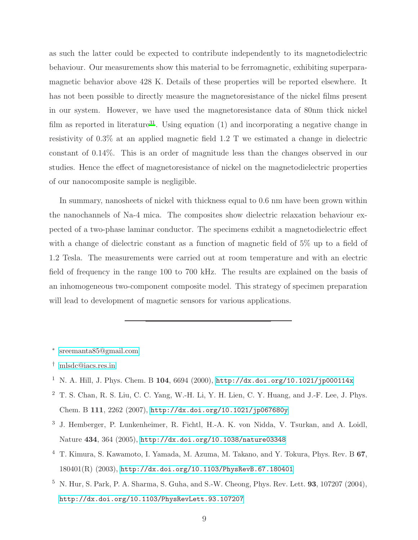as such the latter could be expected to contribute independently to its magnetodielectric behaviour. Our measurements show this material to be ferromagnetic, exhibiting superparamagnetic behavior above 428 K. Details of these properties will be reported elsewhere. It has not been possible to directly measure the magnetoresistance of the nickel films present in our system. However, we have used the magnetoresistance data of 80nm thick nickel film as reported in literature<sup>[31](#page-10-9)</sup>. Using equation (1) and incorporating a negative change in resistivity of 0.3% at an applied magnetic field 1.2 T we estimated a change in dielectric constant of 0.14%. This is an order of magnitude less than the changes observed in our studies. Hence the effect of magnetoresistance of nickel on the magnetodielectric properties of our nanocomposite sample is negligible.

In summary, nanosheets of nickel with thickness equal to 0.6 nm have been grown within the nanochannels of Na-4 mica. The composites show dielectric relaxation behaviour expected of a two-phase laminar conductor. The specimens exhibit a magnetodielectric effect with a change of dielectric constant as a function of magnetic field of 5% up to a field of 1.2 Tesla. The measurements were carried out at room temperature and with an electric field of frequency in the range 100 to 700 kHz. The results are explained on the basis of an inhomogeneous two-component composite model. This strategy of specimen preparation will lead to development of magnetic sensors for various applications.

<span id="page-8-0"></span>∗ [sreemanta85@gmail.com](mailto:sreemanta85@gmail.com)

- <span id="page-8-2"></span><sup>1</sup> N. A. Hill, J. Phys. Chem. B 104, 6694 (2000), <http://dx.doi.org/10.1021/jp000114x>
- <span id="page-8-3"></span><sup>2</sup> T. S. Chan, R. S. Liu, C. C. Yang, W.-H. Li, Y. H. Lien, C. Y. Huang, and J.-F. Lee, J. Phys. Chem. B 111, 2262 (2007), <http://dx.doi.org/10.1021/jp067680y>
- <span id="page-8-4"></span><sup>3</sup> J. Hemberger, P. Lunkenheimer, R. Fichtl, H.-A. K. von Nidda, V. Tsurkan, and A. Loidl, Nature 434, 364 (2005), <http://dx.doi.org/10.1038/nature03348>
- <sup>4</sup> T. Kimura, S. Kawamoto, I. Yamada, M. Azuma, M. Takano, and Y. Tokura, Phys. Rev. B 67, 180401(R) (2003), <http://dx.doi.org/10.1103/PhysRevB.67.180401>
- <span id="page-8-5"></span><sup>5</sup> N. Hur, S. Park, P. A. Sharma, S. Guha, and S.-W. Cheong, Phys. Rev. Lett. 93, 107207 (2004), <http://dx.doi.org/10.1103/PhysRevLett.93.107207>

<span id="page-8-1"></span><sup>†</sup> [mlsdc@iacs.res.in](mailto:mlsdc@iacs.res.in)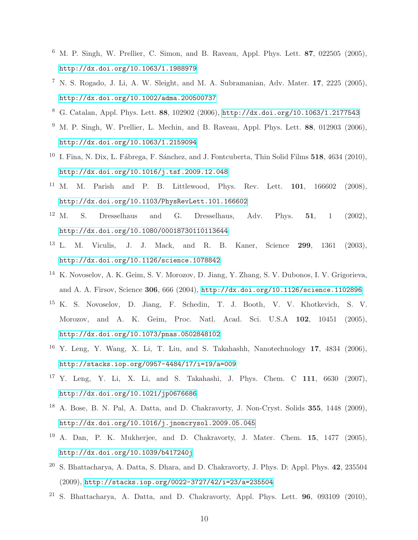- <span id="page-9-0"></span> $6$  M. P. Singh, W. Prellier, C. Simon, and B. Raveau, Appl. Phys. Lett. 87, 022505 (2005), <http://dx.doi.org/10.1063/1.1988979>
- <span id="page-9-1"></span><sup>7</sup> N. S. Rogado, J. Li, A. W. Sleight, and M. A. Subramanian, Adv. Mater. **17**, 2225 (2005), <http://dx.doi.org/10.1002/adma.200500737>
- <span id="page-9-2"></span><sup>8</sup> G. Catalan, Appl. Phys. Lett. 88, 102902 (2006), <http://dx.doi.org/10.1063/1.2177543>
- $9$  M. P. Singh, W. Prellier, L. Mechin, and B. Raveau, Appl. Phys. Lett. 88, 012903 (2006), <http://dx.doi.org/10.1063/1.2159094>
- <span id="page-9-3"></span><sup>10</sup> I. Fina, N. Dix, L. Fábrega, F. Sánchez, and J. Fontcuberta, Thin Solid Films  $518$ , 4634 (2010), <http://dx.doi.org/10.1016/j.tsf.2009.12.048>
- <span id="page-9-4"></span><sup>11</sup> M. M. Parish and P. B. Littlewood, Phys. Rev. Lett. **101**,  $166602$  (2008), <http://dx.doi.org/10.1103/PhysRevLett.101.166602>
- <span id="page-9-5"></span><sup>12</sup> M. S. Dresselhaus and G. Dresselhaus, Adv. Phys. **51**, 1 (2002), <http://dx.doi.org/10.1080/00018730110113644>
- <sup>13</sup> L. M. Viculis, J. J. Mack, and R. B. Kaner, Science 299, 1361 (2003), <http://dx.doi.org/10.1126/science.1078842>
- <sup>14</sup> K. Novoselov, A. K. Geim, S. V. Morozov, D. Jiang, Y. Zhang, S. V. Dubonos, I. V. Grigorieva, and A. A. Firsov, Science 306, 666 (2004), <http://dx.doi.org/10.1126/science.1102896>
- <span id="page-9-6"></span><sup>15</sup> K. S. Novoselov, D. Jiang, F. Schedin, T. J. Booth, V. V. Khotkevich, S. V. Morozov, and A. K. Geim, Proc. Natl. Acad. Sci. U.S.A 102, 10451 (2005), <http://dx.doi.org/10.1073/pnas.0502848102>
- <span id="page-9-7"></span><sup>16</sup> Y. Leng, Y. Wang, X. Li, T. Liu, and S. Takahashh, Nanotechnology 17, 4834 (2006), <http://stacks.iop.org/0957-4484/17/i=19/a=009>
- <span id="page-9-8"></span><sup>17</sup> Y. Leng, Y. Li, X. Li, and S. Takahashi, J. Phys. Chem. C 111, 6630 (2007), <http://dx.doi.org/10.1021/jp0676686>
- <span id="page-9-9"></span><sup>18</sup> A. Bose, B. N. Pal, A. Datta, and D. Chakravorty, J. Non-Cryst. Solids 355, 1448 (2009), <http://dx.doi.org/10.1016/j.jnoncrysol.2009.05.045>
- <span id="page-9-10"></span><sup>19</sup> A. Dan, P. K. Mukherjee, and D. Chakravorty, J. Mater. Chem. **15**,  $1477$  (2005), <http://dx.doi.org/10.1039/b417240j>
- <span id="page-9-11"></span> $20$  S. Bhattacharya, A. Datta, S. Dhara, and D. Chakravorty, J. Phys. D: Appl. Phys.  $42$ ,  $235504$ (2009), <http://stacks.iop.org/0022-3727/42/i=23/a=235504>
- <span id="page-9-12"></span><sup>21</sup> S. Bhattacharya, A. Datta, and D. Chakravorty, Appl. Phys. Lett. **96**, 093109 (2010),